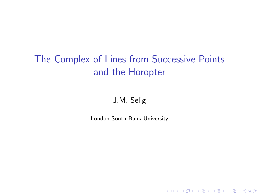# The Complex of Lines from Successive Points and the Horopter

#### J.M. Selig

London South Bank University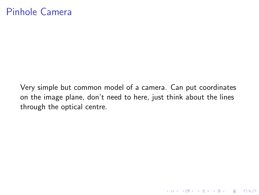### Pinhole Camera

Very simple but common model of a camera. Can put coordinates on the image plane, don't need to here, just think about the lines through the optical centre.

K ロ ▶ K @ ▶ K 할 > K 할 > 1 할 > 1 이익어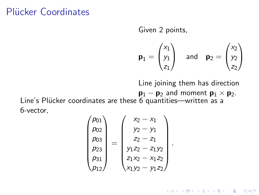# Plücker Coordinates

Given 2 points,

$$
\mathbf{p}_1 = \begin{pmatrix} x_1 \\ y_1 \\ z_1 \end{pmatrix} \quad \text{and} \quad \mathbf{p}_2 = \begin{pmatrix} x_2 \\ y_2 \\ z_2 \end{pmatrix}
$$

Line joining them has direction

 $\mathbf{p}_1 - \mathbf{p}_2$  and moment  $\mathbf{p}_1 \times \mathbf{p}_2$ .

**KORK STRATER STRAKER** 

.

Line's Plücker coordinates are these 6 quantities—written as a 6-vector,

$$
\begin{pmatrix} p_{01} \\ p_{02} \\ p_{03} \\ p_{23} \\ p_{31} \\ p_{12} \end{pmatrix} = \begin{pmatrix} x_2 - x_1 \\ y_2 - y_1 \\ z_2 - z_1 \\ y_1 z_2 - z_1 y_2 \\ z_1 x_2 - x_1 z_2 \\ x_1 y_2 - y_1 z_2 \end{pmatrix}
$$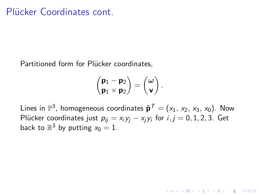Partitioned form for Plücker coordinates,

$$
\begin{pmatrix} \textbf{p}_1-\textbf{p}_2 \\ \textbf{p}_1\times\textbf{p}_2 \end{pmatrix} = \begin{pmatrix} \omega \\ \textbf{v} \end{pmatrix}
$$

.

**KORK ERKER ADE YOUR** 

Lines in  $\mathbb{P}^3$ , homogeneous coordinates  $\tilde{\textbf{p}}^{\, \mathcal{T}} = (x_1, \, x_2, \, x_3, \, x_0).$  Now Plücker coordinates just  $p_{ij} = x_i y_j - x_j y_i$  for  $i, j = 0, 1, 2, 3$ . Get back to  $\mathbb{R}^3$  by putting  $x_0 = 1$ .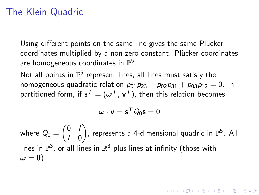# The Klein Quadric

Using different points on the same line gives the same Plücker coordinates multiplied by a non-zero constant. Plücker coordinates are homogeneous coordinates in  $\mathbb{P}^5.$ 

Not all points in  $\mathbb{P}^5$  represent lines, all lines must satisfy the homogeneous quadratic relation  $p_{01}p_{23} + p_{02}p_{31} + p_{03}p_{12} = 0$ . In partitioned form, if  $\mathbf{s}^{\mathcal{T}}=(\mathbf{\omega}^{\mathcal{T}},\mathbf{v}^{\mathcal{T}})$ , then this relation becomes,

$$
\boldsymbol{\omega} \cdot \mathbf{v} = \mathbf{s}^T Q_0 \mathbf{s} = 0
$$

where  $Q_0=\begin{pmatrix} 0 & I \ I & I \end{pmatrix}$ I 0 ), represents a 4-dimensional quadric in  $\mathbb{P}^5$ . All lines in  $\mathbb{P}^3$ , or all lines in  $\mathbb{R}^3$  plus lines at infinity (those with  $\omega = 0$ ).

**KORK (FRAGE) EL POLO**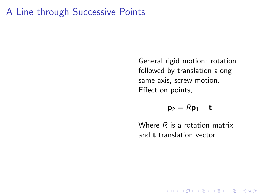#### A Line through Successive Points

General rigid motion: rotation followed by translation along same axis, screw motion. Effect on points,

 $p_2 = Rp_1 + t$ 

Where  $R$  is a rotation matrix and t translation vector.

**KORK STRATER STRAKER**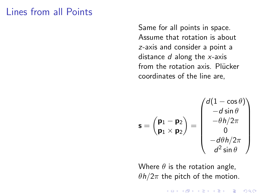#### Lines from all Points

Same for all points in space. Assume that rotation is about z-axis and consider a point a distance  $d$  along the  $x$ -axis from the rotation axis. Plücker coordinates of the line are,

$$
\mathbf{s} = \begin{pmatrix} \mathbf{p}_1 - \mathbf{p}_2 \\ \mathbf{p}_1 \times \mathbf{p}_2 \end{pmatrix} = \begin{pmatrix} d(1 - \cos \theta) \\ -d \sin \theta \\ -\theta h/2\pi \\ 0 \\ -d\theta h/2\pi \\ d^2 \sin \theta \end{pmatrix}
$$

Where  $\theta$  is the rotation angle,  $\theta h/2\pi$  the pitch of the motion.

 $\mathbf{E} = \mathbf{A} \oplus \mathbf{A} + \mathbf{A} \oplus \mathbf{A} + \mathbf{A} \oplus \mathbf{A} + \mathbf{A} \oplus \mathbf{A} + \mathbf{A} \oplus \mathbf{A} + \mathbf{A} \oplus \mathbf{A} + \mathbf{A} \oplus \mathbf{A} + \mathbf{A} \oplus \mathbf{A} + \mathbf{A} \oplus \mathbf{A} + \mathbf{A} \oplus \mathbf{A} + \mathbf{A} \oplus \mathbf{A} + \mathbf{A} \oplus \mathbf{A} + \mathbf{A} \oplus \mathbf{A} + \mathbf{A$ 

 $2990$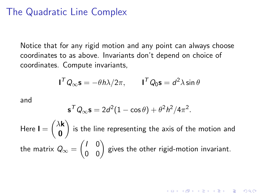#### The Quadratic Line Complex

Notice that for any rigid motion and any point can always choose coordinates to as above. Invariants don't depend on choice of coordinates. Compute invariants,

$$
\mathbf{I}^T Q_{\infty} \mathbf{s} = -\theta h \lambda / 2\pi, \qquad \mathbf{I}^T Q_0 \mathbf{s} = d^2 \lambda \sin \theta
$$

and

$$
\mathbf{s}^T Q_\infty \mathbf{s} = 2d^2(1 - \cos \theta) + \theta^2 h^2/4\pi^2.
$$

Here  $I = \begin{pmatrix} \lambda \mathbf{k} \\ \mathbf{0} \end{pmatrix}$ 0 ) is the line representing the axis of the motion and the matrix  $Q_\infty = \begin{pmatrix} I & 0 \ 0 & 0 \end{pmatrix}$  gives the other rigid-motion invariant.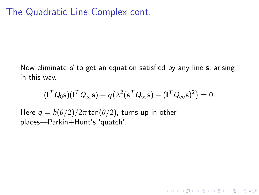# The Quadratic Line Complex cont.

Now eliminate d to get an equation satisfied by any line  $s$ , arising in this way.

$$
(\mathbf{I}^T Q_0 \mathbf{s})(\mathbf{I}^T Q_\infty \mathbf{s}) + q(\lambda^2 (\mathbf{s}^T Q_\infty \mathbf{s}) - (\mathbf{I}^T Q_\infty \mathbf{s})^2) = 0.
$$

K ロ ▶ K @ ▶ K 할 > K 할 > 1 할 > 1 이익어

Here  $q = h(\theta/2)/2\pi \tan(\theta/2)$ , turns up in other places—Parkin+Hunt's 'quatch'.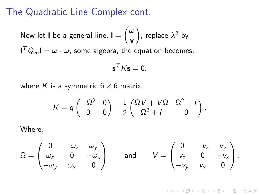#### The Quadratic Line Complex cont.

Now let **I** be a general line, 
$$
\mathbf{I} = \begin{pmatrix} \omega \\ \mathbf{v} \end{pmatrix}
$$
, replace  $\lambda^2$  by

 $\mathsf{I}^{\mathcal{T}} Q_{\infty} \mathsf{I} = \omega \cdot \omega$ , some algebra, the equation becomes,

$$
\mathbf{s}^T K \mathbf{s} = 0.
$$

where K is a symmetric  $6 \times 6$  matrix,

$$
K = q \begin{pmatrix} -\Omega^2 & 0 \\ 0 & 0 \end{pmatrix} + \frac{1}{2} \begin{pmatrix} \Omega V + V\Omega & \Omega^2 + I \\ \Omega^2 + I & 0 \end{pmatrix}.
$$

Where,

$$
\Omega = \begin{pmatrix} 0 & -\omega_z & \omega_y \\ \omega_z & 0 & -\omega_x \\ -\omega_y & \omega_x & 0 \end{pmatrix} \quad \text{and} \quad V = \begin{pmatrix} 0 & -v_z & v_y \\ v_z & 0 & -v_x \\ -v_y & v_x & 0 \end{pmatrix}.
$$

K ロ ▶ K @ ▶ K 할 > K 할 > 1 할 > 1 이익어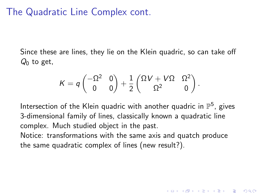### The Quadratic Line Complex cont.

Since these are lines, they lie on the Klein quadric, so can take off  $Q_0$  to get,

$$
\mathcal{K} = q \begin{pmatrix} -\Omega^2 & 0 \\ 0 & 0 \end{pmatrix} + \frac{1}{2} \begin{pmatrix} \Omega V + V\Omega & \Omega^2 \\ \Omega^2 & 0 \end{pmatrix}.
$$

Intersection of the Klein quadric with another quadric in  $\mathbb{P}^5$ , gives 3-dimensional family of lines, classically known a quadratic line complex. Much studied object in the past.

Notice: transformations with the same axis and quatch produce the same quadratic complex of lines (new result?).

4 D > 4 P + 4 B + 4 B + B + 9 Q O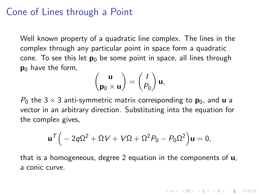#### Cone of Lines through a Point

Well known property of a quadratic line complex. The lines in the complex through any particular point in space form a quadratic cone. To see this let  $p_0$  be some point in space, all lines through  $p_0$  have the form,

$$
\begin{pmatrix} \mathbf{u} \\ \mathbf{p}_0 \times \mathbf{u} \end{pmatrix} = \begin{pmatrix} I \\ P_0 \end{pmatrix} \mathbf{u},
$$

 $P_0$  the 3  $\times$  3 anti-symmetric matrix corresponding to  $\mathbf{p}_0$ , and **u** a vector in an arbitrary direction. Substituting into the equation for the complex gives,

$$
\mathbf{u}^{\mathcal{T}}\Big(-2q\Omega^2+\Omega V+V\Omega+\Omega^2P_0-P_0\Omega^2\Big)\mathbf{u}=0,
$$

that is a homogeneous, degree 2 equation in the components of u, a conic curve.

4 D > 4 P + 4 B + 4 B + B + 9 Q O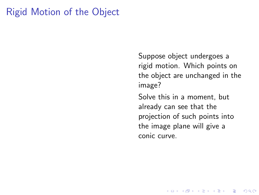# Rigid Motion of the Object

Suppose object undergoes a rigid motion. Which points on the object are unchanged in the image?

Solve this in a moment, but already can see that the projection of such points into the image plane will give a conic curve.

K ロ ▶ K @ ▶ K 할 > K 할 > 1 할 > 1 이익어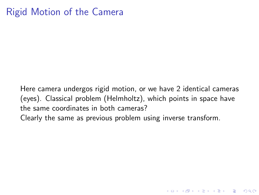# Rigid Motion of the Camera

Here camera undergos rigid motion, or we have 2 identical cameras (eyes). Classical problem (Helmholtz), which points in space have the same coordinates in both cameras?

**K ロ ▶ K @ ▶ K 할 X X 할 X 및 할 X X Q Q O** 

Clearly the same as previous problem using inverse transform.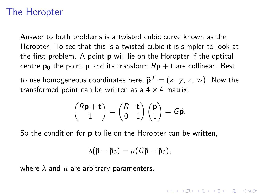#### The Horopter

Answer to both problems is a twisted cubic curve known as the Horopter. To see that this is a twisted cubic it is simpler to look at the first problem. A point **p** will lie on the Horopter if the optical centre  $p_0$  the point **p** and its transform  $Rp + t$  are collinear. Best

to use homogeneous coordinates here,  $\tilde{\textbf{p}}^{\mathcal{T}}=(x,\,y,\,z,\,w).$  Now the transformed point can be written as a  $4 \times 4$  matrix.

$$
\binom{R\mathbf{p}+\mathbf{t}}{1} = \binom{R}{0} \begin{pmatrix} \mathbf{p} \\ 1 \end{pmatrix} = G\tilde{\mathbf{p}}.
$$

So the condition for **p** to lie on the Horopter can be written,

$$
\lambda(\tilde{\mathbf{p}} - \tilde{\mathbf{p}}_0) = \mu(G\tilde{\mathbf{p}} - \tilde{\mathbf{p}}_0),
$$

**KORKAR KERKER E VOOR** 

where  $\lambda$  and  $\mu$  are arbitrary paramenters.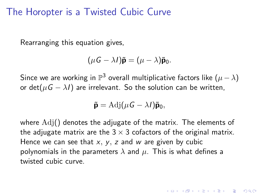#### The Horopter is a Twisted Cubic Curve

Rearranging this equation gives,

$$
(\mu G - \lambda I)\tilde{\mathbf{p}} = (\mu - \lambda)\tilde{\mathbf{p}}_0.
$$

Since we are working in  $\mathbb{P}^3$  overall multiplicative factors like  $(\mu - \lambda)$ or det( $\mu$ G –  $\lambda$ I) are irrelevant. So the solution can be written,

$$
\tilde{\mathbf{p}} = \mathrm{Adj}(\mu G - \lambda I)\tilde{\mathbf{p}}_0,
$$

where  $Adj()$  denotes the adjugate of the matrix. The elements of the adjugate matrix are the  $3 \times 3$  cofactors of the original matrix. Hence we can see that  $x, y, z$  and w are given by cubic polynomials in the parameters  $\lambda$  and  $\mu$ . This is what defines a twisted cubic curve.

**AD A 4 4 4 5 A 5 A 5 A 4 D A 4 D A 4 PM**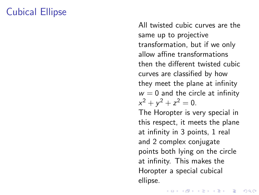# Cubical Ellipse

All twisted cubic curves are the same up to projective transformation, but if we only allow affine transformations then the different twisted cubic curves are classified by how they meet the plane at infinity  $w = 0$  and the circle at infinity  $x^2 + y^2 + z^2 = 0$ .

The Horopter is very special in this respect, it meets the plane at infinity in 3 points, 1 real and 2 complex conjugate points both lying on the circle at infinity. This makes the Horopter a special cubical ellipse.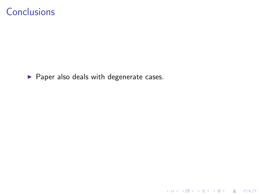#### **Conclusions**

 $\blacktriangleright$  Paper also deals with degenerate cases.

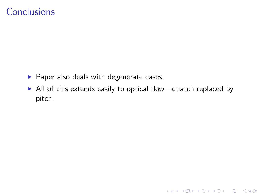# **Conclusions**

- $\blacktriangleright$  Paper also deals with degenerate cases.
- $\triangleright$  All of this extends easily to optical flow—quatch replaced by pitch.

K ロ ▶ K @ ▶ K 할 ▶ K 할 ▶ | 할 | ⊙Q @